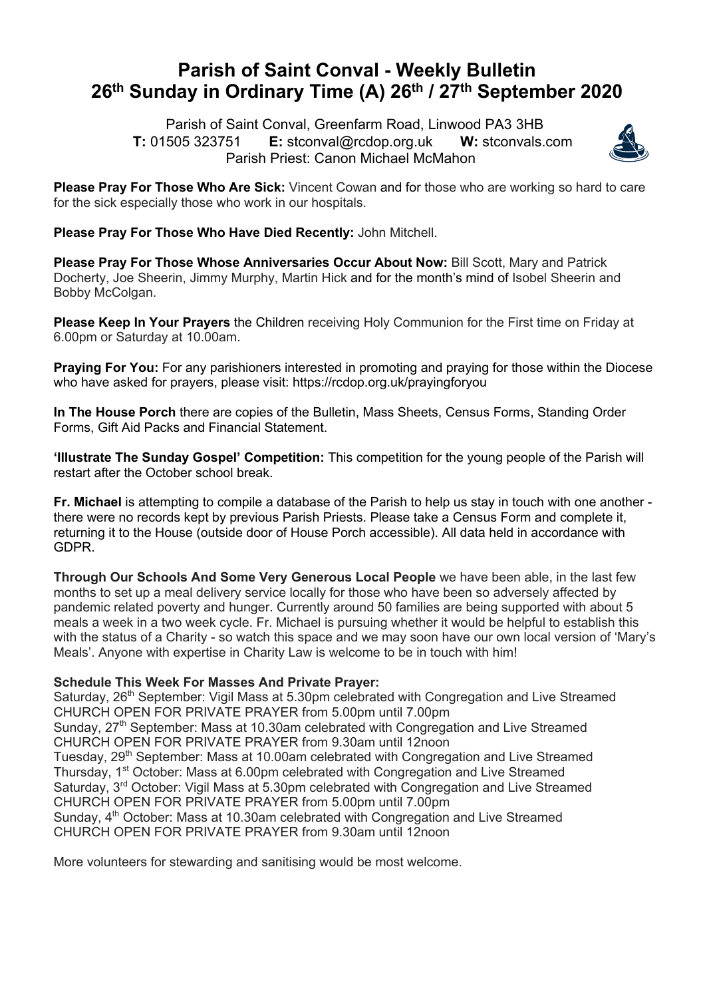# **Parish of Saint Conval - Weekly Bulletin 26th Sunday in Ordinary Time (A) 26th / 27th September 2020**

 Parish of Saint Conval, Greenfarm Road, Linwood PA3 3HB **T:** 01505 323751 **E:** stconval@rcdop.org.uk **W:** stconvals.com Parish Priest: Canon Michael McMahon



**Please Pray For Those Who Are Sick:** Vincent Cowan and for those who are working so hard to care for the sick especially those who work in our hospitals.

**Please Pray For Those Who Have Died Recently:** John Mitchell.

**Please Pray For Those Whose Anniversaries Occur About Now:** Bill Scott, Mary and Patrick Docherty, Joe Sheerin, Jimmy Murphy, Martin Hick and for the month's mind of Isobel Sheerin and Bobby McColgan.

**Please Keep In Your Prayers** the Children receiving Holy Communion for the First time on Friday at 6.00pm or Saturday at 10.00am.

**Praying For You:** For any parishioners interested in promoting and praying for those within the Diocese who have asked for prayers, please visit: https://rcdop.org.uk/prayingforyou

**In The House Porch** there are copies of the Bulletin, Mass Sheets, Census Forms, Standing Order Forms, Gift Aid Packs and Financial Statement.

**'Illustrate The Sunday Gospel' Competition:** This competition for the young people of the Parish will restart after the October school break.

**Fr. Michael** is attempting to compile a database of the Parish to help us stay in touch with one another there were no records kept by previous Parish Priests. Please take a Census Form and complete it, returning it to the House (outside door of House Porch accessible). All data held in accordance with GDPR.

**Through Our Schools And Some Very Generous Local People** we have been able, in the last few months to set up a meal delivery service locally for those who have been so adversely affected by pandemic related poverty and hunger. Currently around 50 families are being supported with about 5 meals a week in a two week cycle. Fr. Michael is pursuing whether it would be helpful to establish this with the status of a Charity - so watch this space and we may soon have our own local version of 'Mary's Meals'. Anyone with expertise in Charity Law is welcome to be in touch with him!

## **Schedule This Week For Masses And Private Prayer:**

Saturday, 26<sup>th</sup> September: Vigil Mass at 5.30pm celebrated with Congregation and Live Streamed CHURCH OPEN FOR PRIVATE PRAYER from 5.00pm until 7.00pm Sunday, 27<sup>th</sup> September: Mass at 10.30am celebrated with Congregation and Live Streamed CHURCH OPEN FOR PRIVATE PRAYER from 9.30am until 12noon Tuesday, 29<sup>th</sup> September: Mass at 10.00am celebrated with Congregation and Live Streamed Thursday, 1<sup>st</sup> October: Mass at 6.00pm celebrated with Congregation and Live Streamed Saturday, 3<sup>rd</sup> October: Vigil Mass at 5.30pm celebrated with Congregation and Live Streamed CHURCH OPEN FOR PRIVATE PRAYER from 5.00pm until 7.00pm Sunday, 4<sup>th</sup> October: Mass at 10.30am celebrated with Congregation and Live Streamed CHURCH OPEN FOR PRIVATE PRAYER from 9.30am until 12noon

More volunteers for stewarding and sanitising would be most welcome.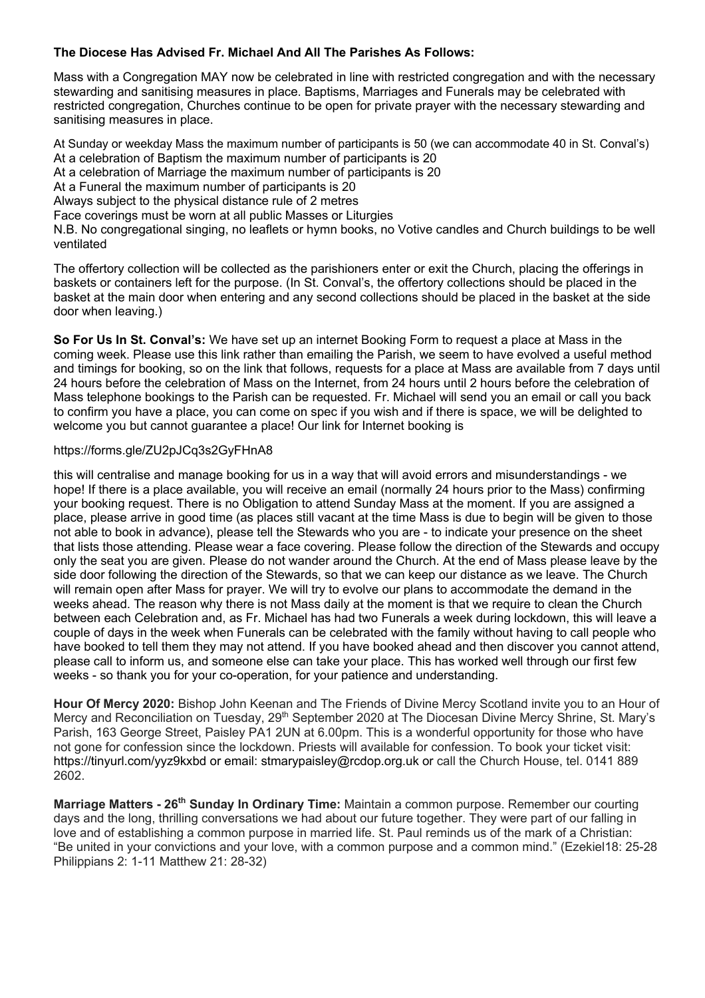### **The Diocese Has Advised Fr. Michael And All The Parishes As Follows:**

Mass with a Congregation MAY now be celebrated in line with restricted congregation and with the necessary stewarding and sanitising measures in place. Baptisms, Marriages and Funerals may be celebrated with restricted congregation, Churches continue to be open for private prayer with the necessary stewarding and sanitising measures in place.

At Sunday or weekday Mass the maximum number of participants is 50 (we can accommodate 40 in St. Conval's) At a celebration of Baptism the maximum number of participants is 20

At a celebration of Marriage the maximum number of participants is 20

At a Funeral the maximum number of participants is 20

Always subject to the physical distance rule of 2 metres

Face coverings must be worn at all public Masses or Liturgies

N.B. No congregational singing, no leaflets or hymn books, no Votive candles and Church buildings to be well ventilated

The offertory collection will be collected as the parishioners enter or exit the Church, placing the offerings in baskets or containers left for the purpose. (In St. Conval's, the offertory collections should be placed in the basket at the main door when entering and any second collections should be placed in the basket at the side door when leaving.)

**So For Us In St. Conval's:** We have set up an internet Booking Form to request a place at Mass in the coming week. Please use this link rather than emailing the Parish, we seem to have evolved a useful method and timings for booking, so on the link that follows, requests for a place at Mass are available from 7 days until 24 hours before the celebration of Mass on the Internet, from 24 hours until 2 hours before the celebration of Mass telephone bookings to the Parish can be requested. Fr. Michael will send you an email or call you back to confirm you have a place, you can come on spec if you wish and if there is space, we will be delighted to welcome you but cannot quarantee a place! Our link for Internet booking is

#### https://forms.gle/ZU2pJCq3s2GyFHnA8

this will centralise and manage booking for us in a way that will avoid errors and misunderstandings - we hope! If there is a place available, you will receive an email (normally 24 hours prior to the Mass) confirming your booking request. There is no Obligation to attend Sunday Mass at the moment. If you are assigned a place, please arrive in good time (as places still vacant at the time Mass is due to begin will be given to those not able to book in advance), please tell the Stewards who you are - to indicate your presence on the sheet that lists those attending. Please wear a face covering. Please follow the direction of the Stewards and occupy only the seat you are given. Please do not wander around the Church. At the end of Mass please leave by the side door following the direction of the Stewards, so that we can keep our distance as we leave. The Church will remain open after Mass for prayer. We will try to evolve our plans to accommodate the demand in the weeks ahead. The reason why there is not Mass daily at the moment is that we require to clean the Church between each Celebration and, as Fr. Michael has had two Funerals a week during lockdown, this will leave a couple of days in the week when Funerals can be celebrated with the family without having to call people who have booked to tell them they may not attend. If you have booked ahead and then discover you cannot attend, please call to inform us, and someone else can take your place. This has worked well through our first few weeks - so thank you for your co-operation, for your patience and understanding.

**Hour Of Mercy 2020:** Bishop John Keenan and The Friends of Divine Mercy Scotland invite you to an Hour of Mercy and Reconciliation on Tuesday, 29<sup>th</sup> September 2020 at The Diocesan Divine Mercy Shrine, St. Mary's Parish, 163 George Street, Paisley PA1 2UN at 6.00pm. This is a wonderful opportunity for those who have not gone for confession since the lockdown. Priests will available for confession. To book your ticket visit: https://tinyurl.com/yyz9kxbd or email: stmarypaisley@rcdop.org.uk or call the Church House, tel. 0141 889 2602.

**Marriage Matters - 26th Sunday In Ordinary Time:** Maintain a common purpose. Remember our courting days and the long, thrilling conversations we had about our future together. They were part of our falling in love and of establishing a common purpose in married life. St. Paul reminds us of the mark of a Christian: "Be united in your convictions and your love, with a common purpose and a common mind." (Ezekiel18: 25-28 Philippians 2: 1-11 Matthew 21: 28-32)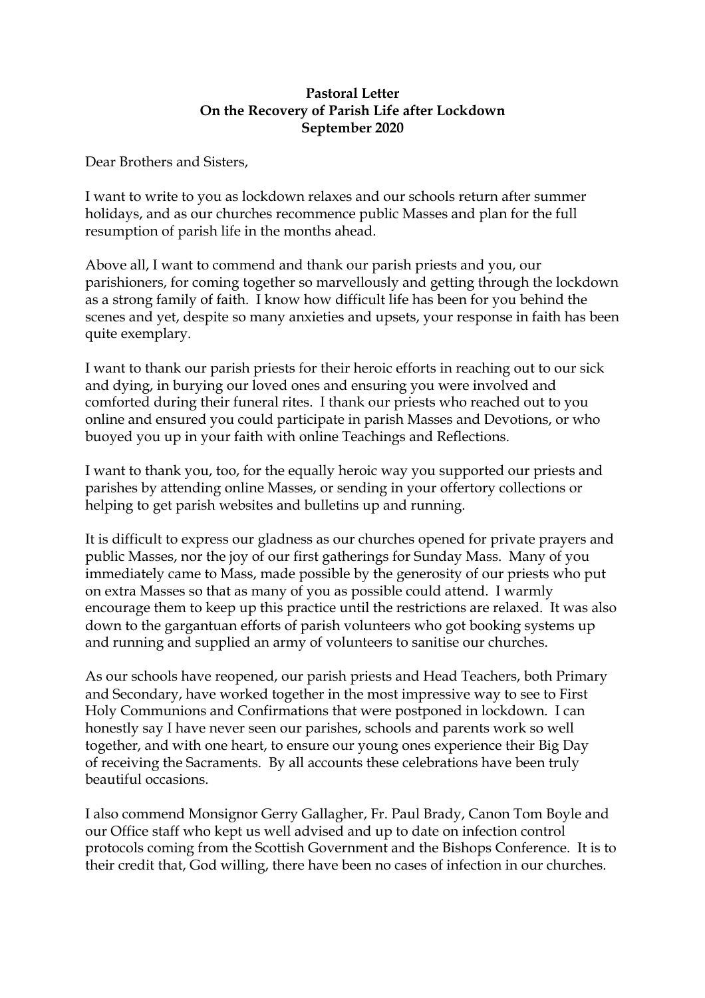## **Pastoral Letter On the Recovery of Parish Life after Lockdown September 2020**

Dear Brothers and Sisters,

I want to write to you as lockdown relaxes and our schools return after summer holidays, and as our churches recommence public Masses and plan for the full resumption of parish life in the months ahead.

Above all, I want to commend and thank our parish priests and you, our parishioners, for coming together so marvellously and getting through the lockdown as a strong family of faith. I know how difficult life has been for you behind the scenes and yet, despite so many anxieties and upsets, your response in faith has been quite exemplary.

I want to thank our parish priests for their heroic efforts in reaching out to our sick and dying, in burying our loved ones and ensuring you were involved and comforted during their funeral rites. I thank our priests who reached out to you online and ensured you could participate in parish Masses and Devotions, or who buoyed you up in your faith with online Teachings and Reflections.

I want to thank you, too, for the equally heroic way you supported our priests and parishes by attending online Masses, or sending in your offertory collections or helping to get parish websites and bulletins up and running.

It is difficult to express our gladness as our churches opened for private prayers and public Masses, nor the joy of our first gatherings for Sunday Mass. Many of you immediately came to Mass, made possible by the generosity of our priests who put on extra Masses so that as many of you as possible could attend. I warmly encourage them to keep up this practice until the restrictions are relaxed. It was also down to the gargantuan efforts of parish volunteers who got booking systems up and running and supplied an army of volunteers to sanitise our churches.

As our schools have reopened, our parish priests and Head Teachers, both Primary and Secondary, have worked together in the most impressive way to see to First Holy Communions and Confirmations that were postponed in lockdown. I can honestly say I have never seen our parishes, schools and parents work so well together, and with one heart, to ensure our young ones experience their Big Day of receiving the Sacraments. By all accounts these celebrations have been truly beautiful occasions.

I also commend Monsignor Gerry Gallagher, Fr. Paul Brady, Canon Tom Boyle and our Office staff who kept us well advised and up to date on infection control protocols coming from the Scottish Government and the Bishops Conference. It is to their credit that, God willing, there have been no cases of infection in our churches.